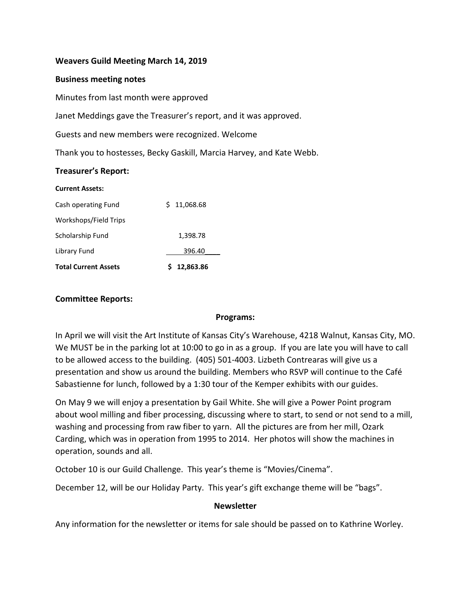### **Weavers Guild Meeting March 14, 2019**

#### **Business meeting notes**

Minutes from last month were approved

Janet Meddings gave the Treasurer's report, and it was approved.

Guests and new members were recognized. Welcome

Thank you to hostesses, Becky Gaskill, Marcia Harvey, and Kate Webb.

### **Treasurer's Report:**

| <b>Current Assets:</b>      |             |
|-----------------------------|-------------|
| Cash operating Fund         | \$11,068.68 |
| Workshops/Field Trips       |             |
| Scholarship Fund            | 1,398.78    |
| Library Fund                | 396.40      |
| <b>Total Current Assets</b> | 12,863.86   |

### **Committee Reports:**

### **Programs:**

In April we will visit the Art Institute of Kansas City's Warehouse, 4218 Walnut, Kansas City, MO. We MUST be in the parking lot at 10:00 to go in as a group. If you are late you will have to call to be allowed access to the building. (405) 501-4003. Lizbeth Contrearas will give us a presentation and show us around the building. Members who RSVP will continue to the Café Sabastienne for lunch, followed by a 1:30 tour of the Kemper exhibits with our guides.

On May 9 we will enjoy a presentation by Gail White. She will give a Power Point program about wool milling and fiber processing, discussing where to start, to send or not send to a mill, washing and processing from raw fiber to yarn. All the pictures are from her mill, Ozark Carding, which was in operation from 1995 to 2014. Her photos will show the machines in operation, sounds and all.

October 10 is our Guild Challenge. This year's theme is "Movies/Cinema".

December 12, will be our Holiday Party. This year's gift exchange theme will be "bags".

### **Newsletter**

Any information for the newsletter or items for sale should be passed on to Kathrine Worley.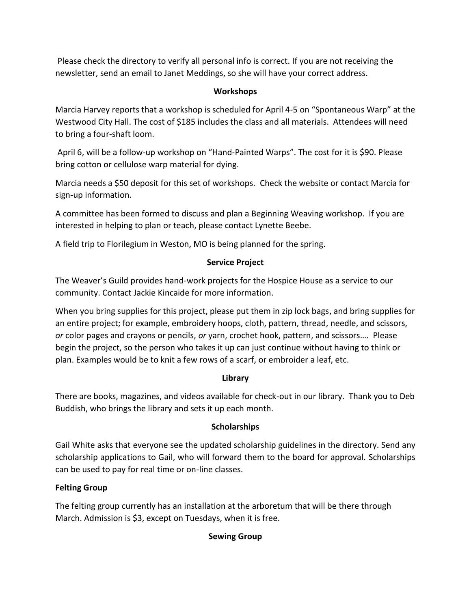Please check the directory to verify all personal info is correct. If you are not receiving the newsletter, send an email to Janet Meddings, so she will have your correct address.

## **Workshops**

Marcia Harvey reports that a workshop is scheduled for April 4-5 on "Spontaneous Warp" at the Westwood City Hall. The cost of \$185 includes the class and all materials. Attendees will need to bring a four-shaft loom.

April 6, will be a follow-up workshop on "Hand-Painted Warps". The cost for it is \$90. Please bring cotton or cellulose warp material for dying.

Marcia needs a \$50 deposit for this set of workshops. Check the website or contact Marcia for sign-up information.

A committee has been formed to discuss and plan a Beginning Weaving workshop. If you are interested in helping to plan or teach, please contact Lynette Beebe.

A field trip to Florilegium in Weston, MO is being planned for the spring.

## **Service Project**

The Weaver's Guild provides hand-work projects for the Hospice House as a service to our community. Contact Jackie Kincaide for more information.

When you bring supplies for this project, please put them in zip lock bags, and bring supplies for an entire project; for example, embroidery hoops, cloth, pattern, thread, needle, and scissors, *or* color pages and crayons or pencils, *or* yarn, crochet hook, pattern, and scissors…. Please begin the project, so the person who takes it up can just continue without having to think or plan. Examples would be to knit a few rows of a scarf, or embroider a leaf, etc.

### **Library**

There are books, magazines, and videos available for check-out in our library. Thank you to Deb Buddish, who brings the library and sets it up each month.

# **Scholarships**

Gail White asks that everyone see the updated scholarship guidelines in the directory. Send any scholarship applications to Gail, who will forward them to the board for approval. Scholarships can be used to pay for real time or on-line classes.

# **Felting Group**

The felting group currently has an installation at the arboretum that will be there through March. Admission is \$3, except on Tuesdays, when it is free.

### **Sewing Group**